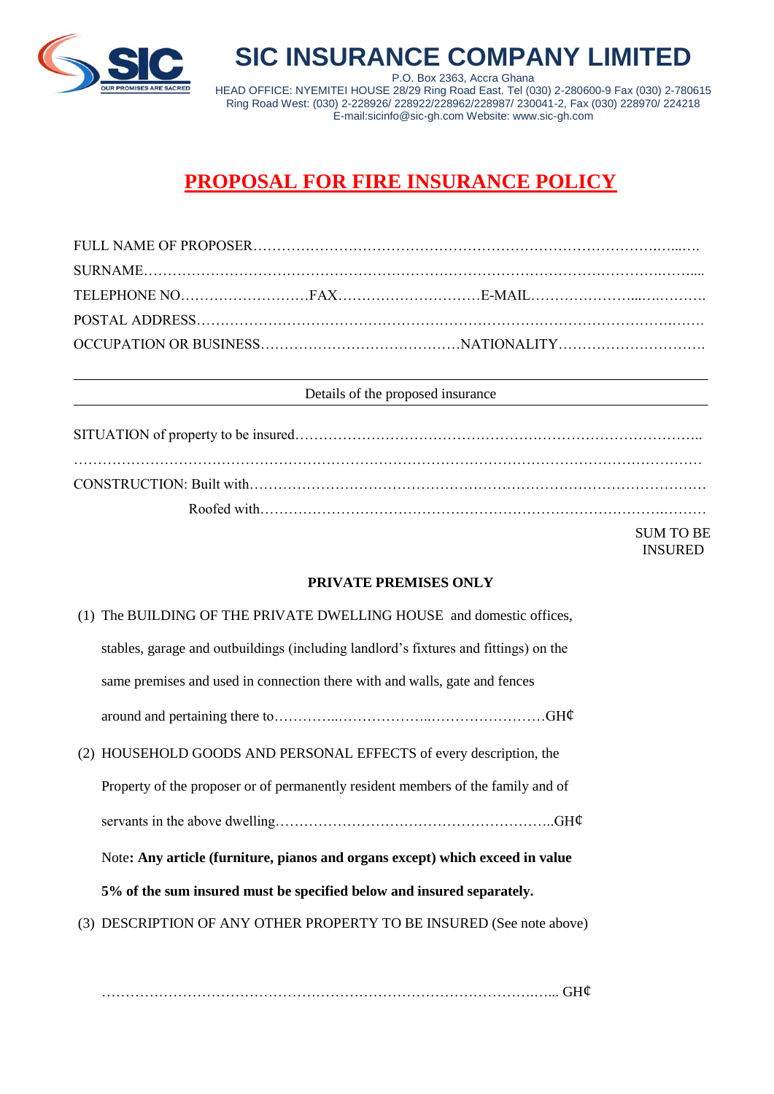

**SIC INSURANCE COMPANY LIMITED** P.O. Box 2363, Accra Ghana HEAD OFFICE: NYEMITEI HOUSE 28/29 Ring Road East. Tel (030) 2-280600-9 Fax (030) 2-780615 Ring Road West: (030) 2-228926/ 228922/228962/228987/ 230041-2, Fax (030) 228970/ 224218 E-mail:sicinfo@sic-gh.com Website: www.sic-gh.com

# **PROPOSAL FOR FIRE INSURANCE POLICY**

#### Details of the proposed insurance

SUM TO BE INSURED

### **PRIVATE PREMISES ONLY**

| (1) The BUILDING OF THE PRIVATE DWELLING HOUSE and domestic offices,                 |
|--------------------------------------------------------------------------------------|
| stables, garage and outbuildings (including landford's fixtures and fittings) on the |
| same premises and used in connection there with and walls, gate and fences           |
|                                                                                      |
| (2) HOUSEHOLD GOODS AND PERSONAL EFFECTS of every description, the                   |
| Property of the proposer or of permanently resident members of the family and of     |
|                                                                                      |
| Note: Any article (furniture, pianos and organs except) which exceed in value        |
| 5% of the sum insured must be specified below and insured separately.                |
| (3) DESCRIPTION OF ANY OTHER PROPERTY TO BE INSURED (See note above)                 |
|                                                                                      |

……………………………………………………………………………….…... GH¢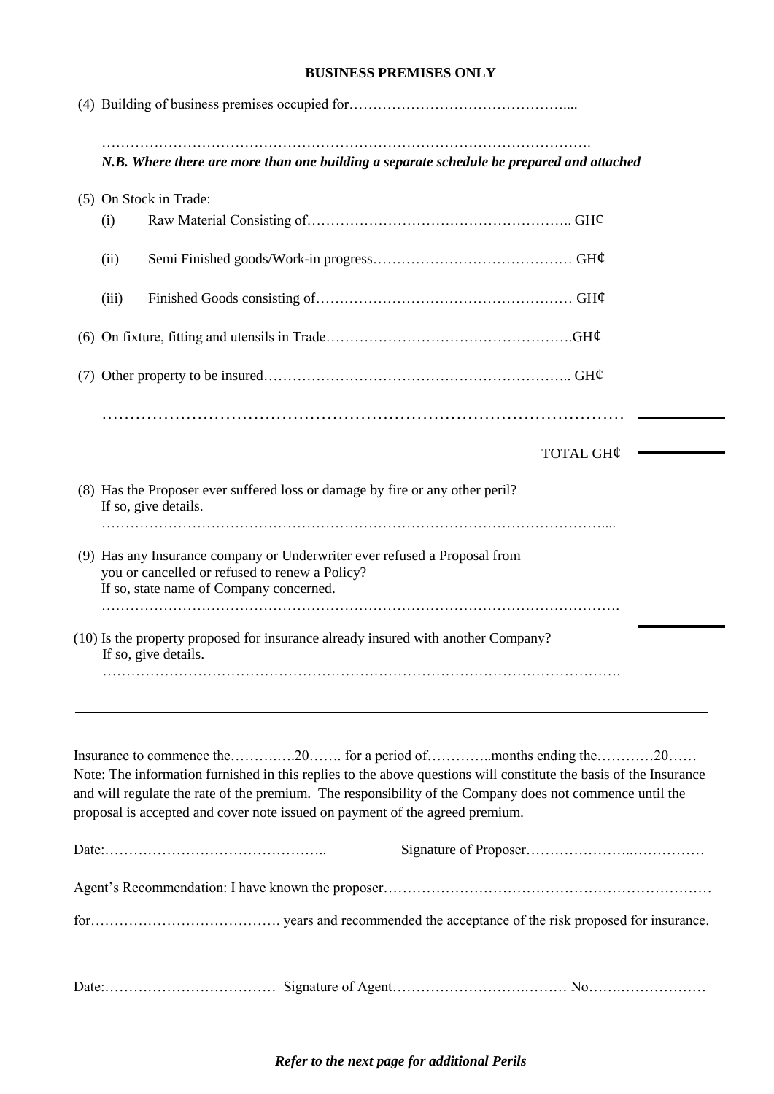### **BUSINESS PREMISES ONLY**

| N.B. Where there are more than one building a separate schedule be prepared and attached                                                                                                                                                                                                                      |
|---------------------------------------------------------------------------------------------------------------------------------------------------------------------------------------------------------------------------------------------------------------------------------------------------------------|
| (5) On Stock in Trade:                                                                                                                                                                                                                                                                                        |
| (i)                                                                                                                                                                                                                                                                                                           |
| (ii)                                                                                                                                                                                                                                                                                                          |
| (iii)                                                                                                                                                                                                                                                                                                         |
|                                                                                                                                                                                                                                                                                                               |
|                                                                                                                                                                                                                                                                                                               |
| TOTAL GH¢                                                                                                                                                                                                                                                                                                     |
| (8) Has the Proposer ever suffered loss or damage by fire or any other peril?<br>If so, give details.                                                                                                                                                                                                         |
| (9) Has any Insurance company or Underwriter ever refused a Proposal from<br>you or cancelled or refused to renew a Policy?<br>If so, state name of Company concerned.                                                                                                                                        |
| (10) Is the property proposed for insurance already insured with another Company?<br>If so, give details.                                                                                                                                                                                                     |
| Note: The information furnished in this replies to the above questions will constitute the basis of the Insurance<br>and will regulate the rate of the premium. The responsibility of the Company does not commence until the<br>proposal is accepted and cover note issued on payment of the agreed premium. |
|                                                                                                                                                                                                                                                                                                               |
|                                                                                                                                                                                                                                                                                                               |
|                                                                                                                                                                                                                                                                                                               |
|                                                                                                                                                                                                                                                                                                               |

*Refer to the next page for additional Perils*